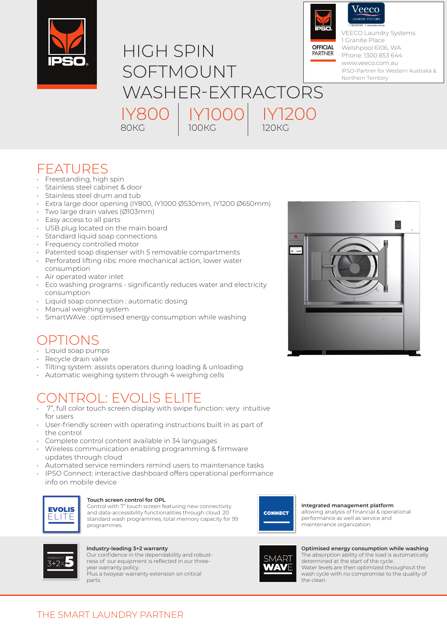



FEATURES

- Freestanding, high spin
- Stainless steel cabinet & door
- Stainless steel drum and tub
- Extra large door opening (IY800, IY1000 Ø530mm, IY1200 Ø650mm)
- Two large drain valves (Ø103mm)
- Easy access to all parts
- USB plug located on the main board
- Standard liquid soap connections
- Frequency controlled motor
- Patented soap dispenser with 5 removable compartments
- Perforated lifting ribs: more mechanical action, lower water consumption
- Air operated water inlet
- Eco washing programs significantly reduces water and electricity consumption
- Liquid soap connection : automatic dosing
- Manual weighing system
- SmartWAVe : optimised energy consumption while washing

## OPTIONS

- Liquid soap pumps
- Recycle drain valve
- Tilting system: assists operators during loading & unloading
- Automatic weighing system through 4 weighing cells

# CONTROL: EVOLIS ELITE

- 7", full color touch screen display with swipe function: very intuitive for users
- User-friendly screen with operating instructions built in as part of the control
- Complete control content available in 34 languages
- Wireless communication enabling programming & firmware updates through cloud
- Automated service reminders remind users to maintenance tasks
- IPSO Connect: interactive dashboard offers operational performance info on mobile device



### **Touch screen control for OPL**

Control with 7" touch screen featuring new connectivity and data-accessibility functionalities through cloud. 20 standard wash programmes, total memory capacity for 99 programmes.



#### **Integrated management platform** allowing analysis of financial & operational

performance as well as service and maintenance organization.



### **Industry-leading 3+2 warranty**

Our confidence in the dependability and robustness of our equipment is reflected in our threeyear warranty policy. Plus a twoyear warranty extension on critical parts.



**Optimised energy consumption while washing** The absorption ability of the load is automatically determined at the start of the cycle. Water levels are then optimized throughout the wash cycle with no compromise to the quality of the clean.



<sup>/</sup>eeco

VEECO Laundry Systems 1 Granite Place Welshpool 6106, WA Phone: 1300 853 644 www.veeco.com.au IPSO-Partner for Western Australia & Northern Territory